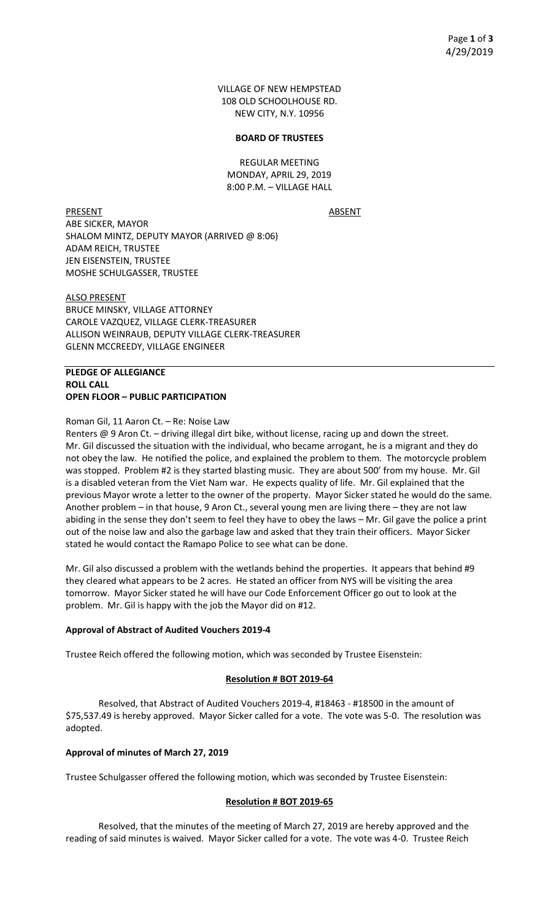VILLAGE OF NEW HEMPSTEAD 108 OLD SCHOOLHOUSE RD. NEW CITY, N.Y. 10956

#### **BOARD OF TRUSTEES**

REGULAR MEETING MONDAY, APRIL 29, 2019 8:00 P.M. – VILLAGE HALL

PRESENT ABSENT ABE SICKER, MAYOR SHALOM MINTZ, DEPUTY MAYOR (ARRIVED @ 8:06) ADAM REICH, TRUSTEE JEN EISENSTEIN, TRUSTEE MOSHE SCHULGASSER, TRUSTEE

ALSO PRESENT BRUCE MINSKY, VILLAGE ATTORNEY CAROLE VAZQUEZ, VILLAGE CLERK-TREASURER ALLISON WEINRAUB, DEPUTY VILLAGE CLERK-TREASURER GLENN MCCREEDY, VILLAGE ENGINEER

# **PLEDGE OF ALLEGIANCE ROLL CALL OPEN FLOOR – PUBLIC PARTICIPATION**

Roman Gil, 11 Aaron Ct. – Re: Noise Law

Renters @ 9 Aron Ct. – driving illegal dirt bike, without license, racing up and down the street. Mr. Gil discussed the situation with the individual, who became arrogant, he is a migrant and they do not obey the law. He notified the police, and explained the problem to them. The motorcycle problem was stopped. Problem #2 is they started blasting music. They are about 500' from my house. Mr. Gil is a disabled veteran from the Viet Nam war. He expects quality of life. Mr. Gil explained that the previous Mayor wrote a letter to the owner of the property. Mayor Sicker stated he would do the same. Another problem – in that house, 9 Aron Ct., several young men are living there – they are not law abiding in the sense they don't seem to feel they have to obey the laws – Mr. Gil gave the police a print out of the noise law and also the garbage law and asked that they train their officers. Mayor Sicker stated he would contact the Ramapo Police to see what can be done.

Mr. Gil also discussed a problem with the wetlands behind the properties. It appears that behind #9 they cleared what appears to be 2 acres. He stated an officer from NYS will be visiting the area tomorrow. Mayor Sicker stated he will have our Code Enforcement Officer go out to look at the problem. Mr. Gil is happy with the job the Mayor did on #12.

# **Approval of Abstract of Audited Vouchers 2019-4**

Trustee Reich offered the following motion, which was seconded by Trustee Eisenstein:

## **Resolution # BOT 2019-64**

Resolved, that Abstract of Audited Vouchers 2019-4, #18463 - #18500 in the amount of \$75,537.49 is hereby approved. Mayor Sicker called for a vote. The vote was 5-0. The resolution was adopted.

## **Approval of minutes of March 27, 2019**

Trustee Schulgasser offered the following motion, which was seconded by Trustee Eisenstein:

## **Resolution # BOT 2019-65**

Resolved, that the minutes of the meeting of March 27, 2019 are hereby approved and the reading of said minutes is waived. Mayor Sicker called for a vote. The vote was 4-0. Trustee Reich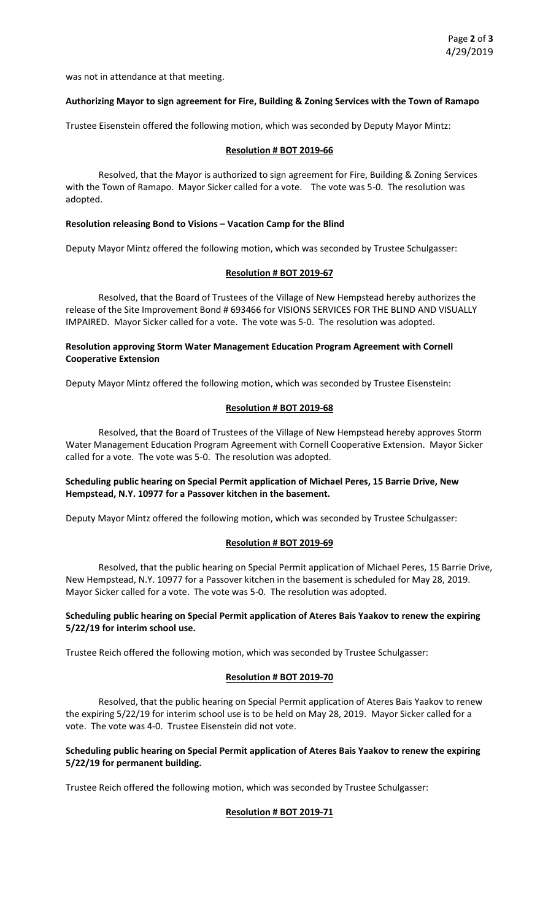was not in attendance at that meeting.

#### **Authorizing Mayor to sign agreement for Fire, Building & Zoning Services with the Town of Ramapo**

Trustee Eisenstein offered the following motion, which was seconded by Deputy Mayor Mintz:

#### **Resolution # BOT 2019-66**

Resolved, that the Mayor is authorized to sign agreement for Fire, Building & Zoning Services with the Town of Ramapo. Mayor Sicker called for a vote. The vote was 5-0. The resolution was adopted.

#### **Resolution releasing Bond to Visions – Vacation Camp for the Blind**

Deputy Mayor Mintz offered the following motion, which was seconded by Trustee Schulgasser:

#### **Resolution # BOT 2019-67**

Resolved, that the Board of Trustees of the Village of New Hempstead hereby authorizes the release of the Site Improvement Bond # 693466 for VISIONS SERVICES FOR THE BLIND AND VISUALLY IMPAIRED. Mayor Sicker called for a vote. The vote was 5-0. The resolution was adopted.

## **Resolution approving Storm Water Management Education Program Agreement with Cornell Cooperative Extension**

Deputy Mayor Mintz offered the following motion, which was seconded by Trustee Eisenstein:

## **Resolution # BOT 2019-68**

Resolved, that the Board of Trustees of the Village of New Hempstead hereby approves Storm Water Management Education Program Agreement with Cornell Cooperative Extension. Mayor Sicker called for a vote. The vote was 5-0. The resolution was adopted.

# **Scheduling public hearing on Special Permit application of Michael Peres, 15 Barrie Drive, New Hempstead, N.Y. 10977 for a Passover kitchen in the basement.**

Deputy Mayor Mintz offered the following motion, which was seconded by Trustee Schulgasser:

## **Resolution # BOT 2019-69**

Resolved, that the public hearing on Special Permit application of Michael Peres, 15 Barrie Drive, New Hempstead, N.Y. 10977 for a Passover kitchen in the basement is scheduled for May 28, 2019. Mayor Sicker called for a vote. The vote was 5-0. The resolution was adopted.

## **Scheduling public hearing on Special Permit application of Ateres Bais Yaakov to renew the expiring 5/22/19 for interim school use.**

Trustee Reich offered the following motion, which was seconded by Trustee Schulgasser:

## **Resolution # BOT 2019-70**

Resolved, that the public hearing on Special Permit application of Ateres Bais Yaakov to renew the expiring 5/22/19 for interim school use is to be held on May 28, 2019. Mayor Sicker called for a vote. The vote was 4-0. Trustee Eisenstein did not vote.

# **Scheduling public hearing on Special Permit application of Ateres Bais Yaakov to renew the expiring 5/22/19 for permanent building.**

Trustee Reich offered the following motion, which was seconded by Trustee Schulgasser:

## **Resolution # BOT 2019-71**